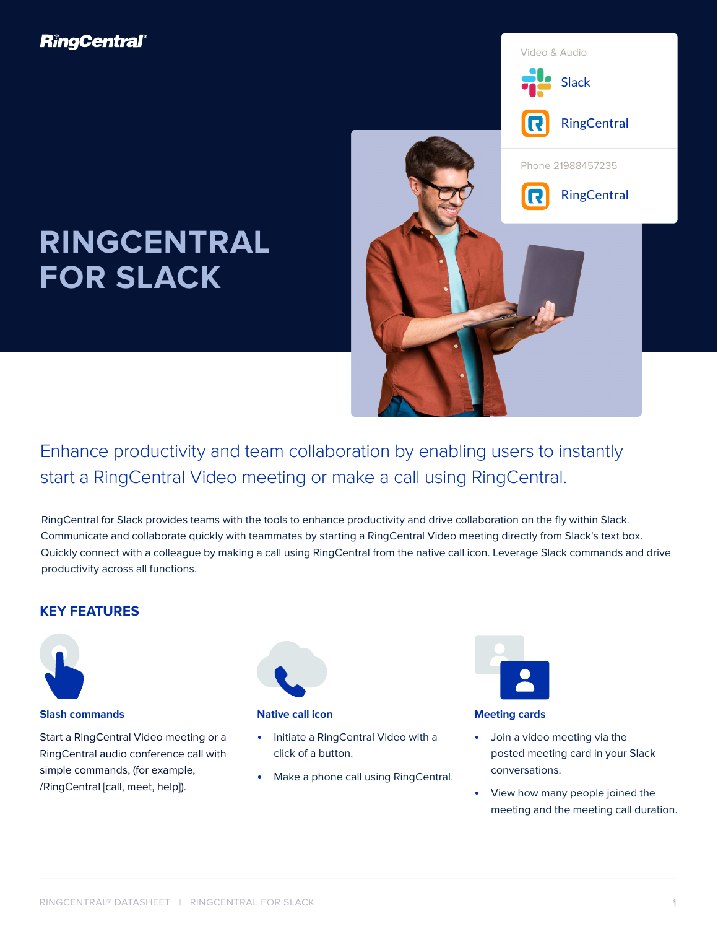## **RingCentral**®

# **RINGCENTRAL FOR SLACK**



Enhance productivity and team collaboration by enabling users to instantly start a RingCentral Video meeting or make a call using RingCentral.

RingCentral for Slack provides teams with the tools to enhance productivity and drive collaboration on the fly within Slack. Communicate and collaborate quickly with teammates by starting a RingCentral Video meeting directly from Slack's text box. Quickly connect with a colleague by making a call using RingCentral from the native call icon. Leverage Slack commands and drive productivity across all functions.

## **KEY FEATURES**



## **Slash commands**

Start a RingCentral Video meeting or a RingCentral audio conference call with simple commands, (for example, /RingCentral [call, meet, help]).



#### **Native call icon**

- Initiate a RingCentral Video with a click of a button.
- Make a phone call using RingCentral.



#### **Meeting cards**

- Join a video meeting via the posted meeting card in your Slack conversations.
- View how many people joined the meeting and the meeting call duration.